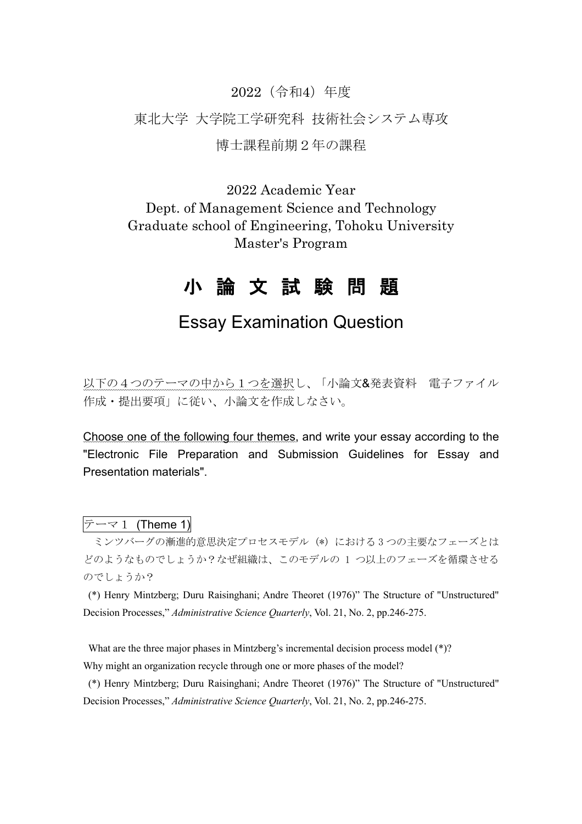## 2022(令和4)年度

## 東北大学 大学院工学研究科 技術社会システム専攻

### 博士課程前期2年の課程

2022 Academic Year Dept. of Management Science and Technology Graduate school of Engineering, Tohoku University Master's Program

# 小 論 文 試 験 問 題

# Essay Examination Question

以下の4つのテーマの中から1つを選択し、「小論文&発表資料 電子ファイル 作成・提出要項」に従い、小論文を作成しなさい。

Choose one of the following four themes, and write your essay according to the "Electronic File Preparation and Submission Guidelines for Essay and Presentation materials".

# $\bar{z}$   $\rightarrow$  1 (Theme 1)

ミンツバーグの漸進的意思決定プロセスモデル (\*) における 3 つの主要なフェーズとは どのようなものでしょうか?なぜ組織は、このモデルの 1 つ以上のフェーズを循環させる のでしょうか?

(\*) Henry Mintzberg; Duru Raisinghani; Andre Theoret (1976)" The Structure of "Unstructured" Decision Processes," *Administrative Science Quarterly*, Vol. 21, No. 2, pp.246-275.

What are the three major phases in Mintzberg's incremental decision process model (\*)? Why might an organization recycle through one or more phases of the model?

(\*) Henry Mintzberg; Duru Raisinghani; Andre Theoret (1976)" The Structure of "Unstructured" Decision Processes," *Administrative Science Quarterly*, Vol. 21, No. 2, pp.246-275.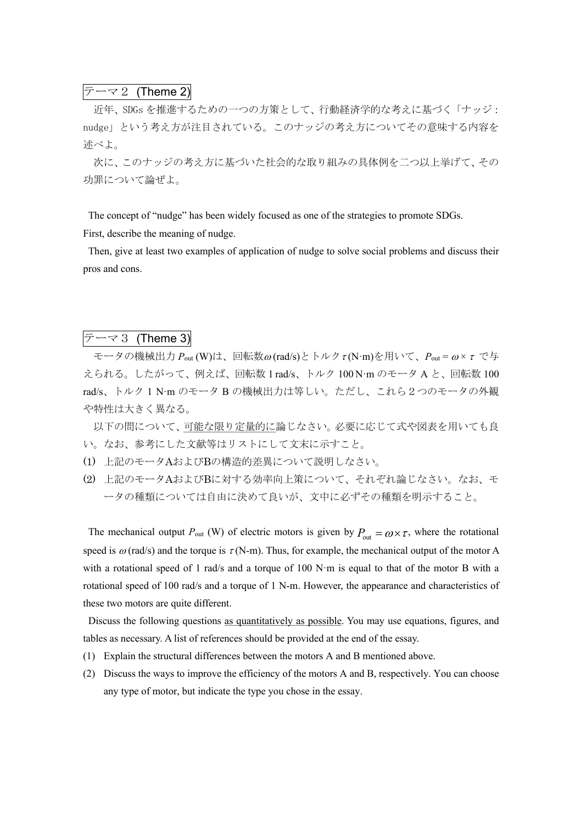### テーマ2 (Theme 2)

近年、SDGs を推進するための一つの方策として、行動経済学的な考えに基づく「ナッジ: nudge」という考え方が注目されている。このナッジの考え方についてその意味する内容を 述べよ。

次に、このナッジの考え方に基づいた社会的な取り組みの具体例を二つ以上挙げて、その 功罪について論ぜよ。

The concept of "nudge" has been widely focused as one of the strategies to promote SDGs. First, describe the meaning of nudge.

Then, give at least two examples of application of nudge to solve social problems and discuss their pros and cons.

# $\bar{z}-\overline{z}$  (Theme 3)

モータの機械出力 *P*<sub>out</sub> (W)は、回転数ω(rad/s)とトルク τ(N·m)を用いて、*P*<sub>out</sub> = ω × τ で与 えられる。したがって、例えば、回転数 1 rad/s、トルク 100 N·m のモータ A と、回転数 100 rad/s、トルク 1 N·m のモータ B の機械出力は等しい。ただし、これら2つのモータの外観 や特性は大きく異なる。

以下の問について、可能な限り定量的に論じなさい。必要に応じて式や図表を用いても良 い。なお、参考にした文献等はリストにして文末に示すこと。

- (1) 上記のモータAおよびBの構造的差異について説明しなさい。
- (2) 上記のモータAおよびBに対する効率向上策について、それぞれ論じなさい。なお、モ ータの種類については自由に決めて良いが、文中に必ずその種類を明示すること。

The mechanical output  $P_{\text{out}}$  (W) of electric motors is given by  $P_{\text{out}} = \omega \times \tau$ , where the rotational speed is  $\omega$  (rad/s) and the torque is  $\tau$  (N-m). Thus, for example, the mechanical output of the motor A with a rotational speed of 1 rad/s and a torque of  $100 \text{ N} \cdot \text{m}$  is equal to that of the motor B with a rotational speed of 100 rad/s and a torque of 1 N-m. However, the appearance and characteristics of these two motors are quite different.

Discuss the following questions as quantitatively as possible. You may use equations, figures, and tables as necessary. A list of references should be provided at the end of the essay.

- (1) Explain the structural differences between the motors A and B mentioned above.
- (2) Discuss the ways to improve the efficiency of the motors A and B, respectively. You can choose any type of motor, but indicate the type you chose in the essay.